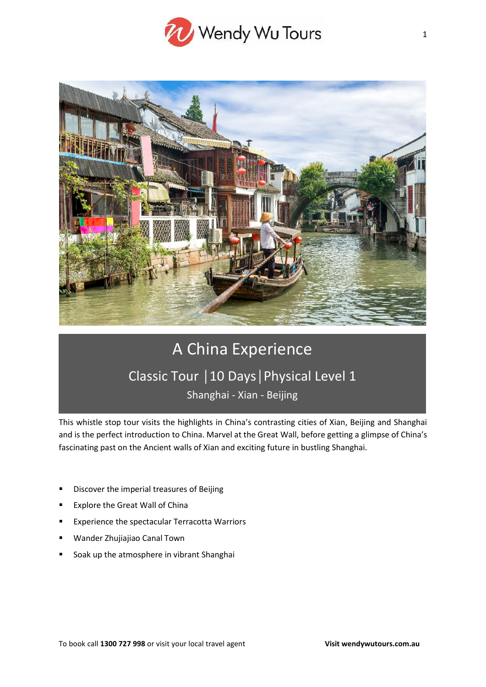



# A China Experience Classic Tour │10 Days│Physical Level 1

Shanghai - Xian - Beijing

This whistle stop tour visits the highlights in China's contrasting cities of Xian, Beijing and Shanghai and is the perfect introduction to China. Marvel at the Great Wall, before getting a glimpse of China's fascinating past on the Ancient walls of Xian and exciting future in bustling Shanghai.

- Discover the imperial treasures of Beijing
- Explore the Great Wall of China
- Experience the spectacular Terracotta Warriors
- Wander Zhujiajiao Canal Town
- Soak up the atmosphere in vibrant Shanghai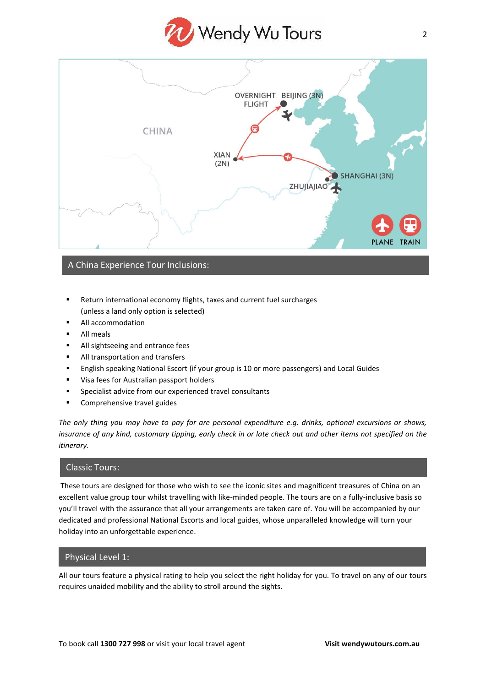



# A China Experience Tour Inclusions:

- Return international economy flights, taxes and current fuel surcharges (unless a land only option is selected)
- All accommodation
- All meals
- All sightseeing and entrance fees
- All transportation and transfers
- English speaking National Escort (if your group is 10 or more passengers) and Local Guides
- Visa fees for Australian passport holders
- Specialist advice from our experienced travel consultants
- Comprehensive travel guides

*The only thing you may have to pay for are personal expenditure e.g. drinks, optional excursions or shows, insurance of any kind, customary tipping, early check in or late check out and other items not specified on the itinerary.*

# Classic Tours:

These tours are designed for those who wish to see the iconic sites and magnificent treasures of China on an excellent value group tour whilst travelling with like-minded people. The tours are on a fully-inclusive basis so you'll travel with the assurance that all your arrangements are taken care of. You will be accompanied by our dedicated and professional National Escorts and local guides, whose unparalleled knowledge will turn your holiday into an unforgettable experience.

# Physical Level 1:

All our tours feature a physical rating to help you select the right holiday for you. To travel on any of our tours requires unaided mobility and the ability to stroll around the sights.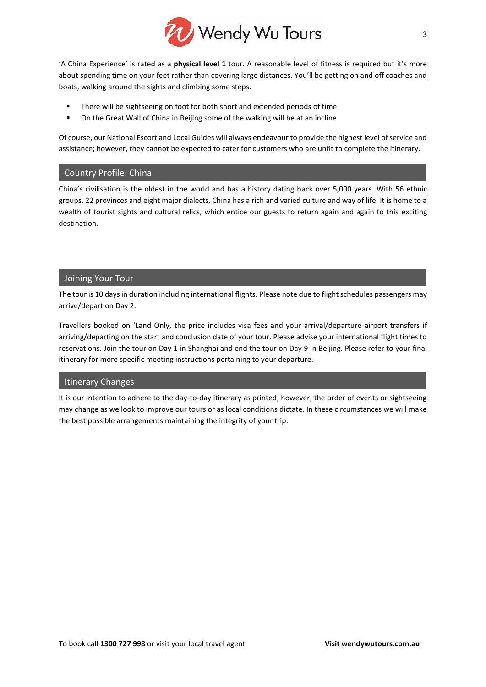

'A China Experience' is rated as a **physical level 1** tour. A reasonable level of fitness is required but it's more about spending time on your feet rather than covering large distances. You'll be getting on and off coaches and boats, walking around the sights and climbing some steps.

- There will be sightseeing on foot for both short and extended periods of time
- On the Great Wall of China in Beijing some of the walking will be at an incline

Of course, our National Escort and Local Guides will always endeavour to provide the highest level of service and assistance; however, they cannot be expected to cater for customers who are unfit to complete the itinerary.

# Country Profile: China

China's civilisation is the oldest in the world and has a history dating back over 5,000 years. With 56 ethnic groups, 22 provinces and eight major dialects, China has a rich and varied culture and way of life. It is home to a wealth of tourist sights and cultural relics, which entice our guests to return again and again to this exciting destination.

# Joining Your Tour

The tour is 10 days in duration including international flights. Please note due to flight schedules passengers may arrive/depart on Day 2.

Travellers booked on 'Land Only, the price includes visa fees and your arrival/departure airport transfers if arriving/departing on the start and conclusion date of your tour. Please advise your international flight times to reservations. Join the tour on Day 1 in Shanghai and end the tour on Day 9 in Beijing. Please refer to your final itinerary for more specific meeting instructions pertaining to your departure.

# Itinerary Changes

It is our intention to adhere to the day-to-day itinerary as printed; however, the order of events or sightseeing may change as we look to improve our tours or as local conditions dictate. In these circumstances we will make the best possible arrangements maintaining the integrity of your trip.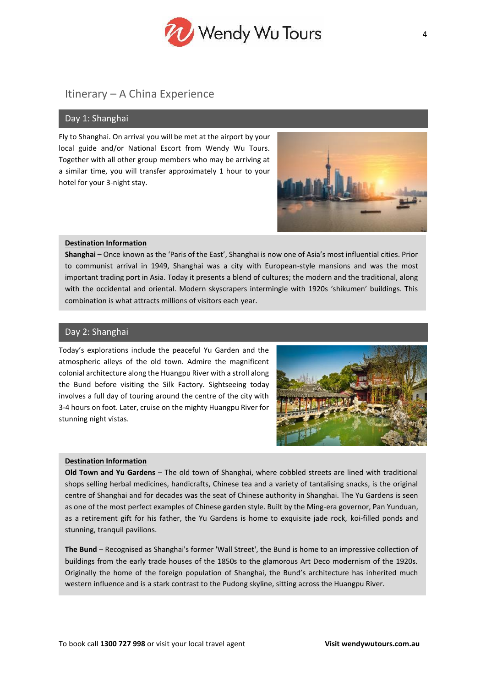

# Itinerary – A China Experience

### Day 1: Shanghai

Fly to Shanghai. On arrival you will be met at the airport by your local guide and/or National Escort from Wendy Wu Tours. Together with all other group members who may be arriving at a similar time, you will transfer approximately 1 hour to your hotel for your 3-night stay.



#### **Destination Information**

**Shanghai –** Once known as the 'Paris of the East', Shanghai is now one of Asia's most influential cities. Prior to communist arrival in 1949, Shanghai was a city with European-style mansions and was the most important trading port in Asia. Today it presents a blend of cultures; the modern and the traditional, along with the occidental and oriental. Modern skyscrapers intermingle with 1920s 'shikumen' buildings. This combination is what attracts millions of visitors each year.

# Day 2: Shanghai

Today's explorations include the peaceful Yu Garden and the atmospheric alleys of the old town. Admire the magnificent colonial architecture along the Huangpu River with a stroll along the Bund before visiting the Silk Factory. Sightseeing today involves a full day of touring around the centre of the city with 3-4 hours on foot. Later, cruise on the mighty Huangpu River for stunning night vistas.



#### **Destination Information**

**Old Town and Yu Gardens** – The old town of Shanghai, where cobbled streets are lined with traditional shops selling herbal medicines, handicrafts, Chinese tea and a variety of tantalising snacks, is the original centre of Shanghai and for decades was the seat of Chinese authority in Shanghai. The Yu Gardens is seen as one of the most perfect examples of Chinese garden style. Built by the Ming-era governor, Pan Yunduan, as a retirement gift for his father, the Yu Gardens is home to exquisite jade rock, koi-filled ponds and stunning, tranquil pavilions.

**The Bund** – Recognised as Shanghai's former 'Wall Street', the Bund is home to an impressive collection of buildings from the early trade houses of the 1850s to the glamorous Art Deco modernism of the 1920s. Originally the home of the foreign population of Shanghai, the Bund's architecture has inherited much western influence and is a stark contrast to the Pudong skyline, sitting across the Huangpu River.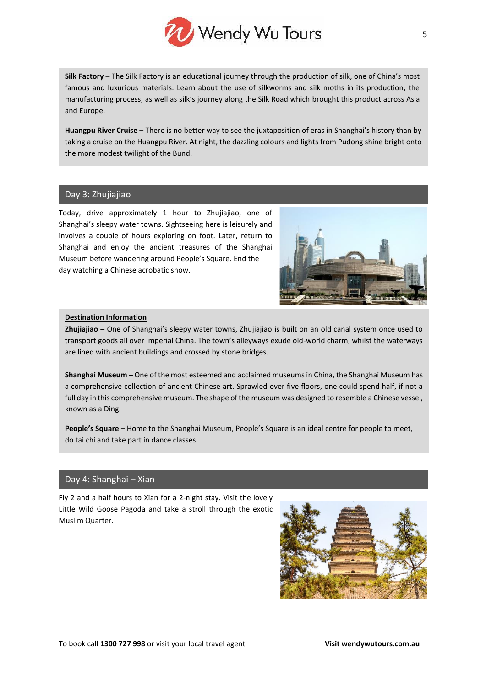

**Silk Factory** – The Silk Factory is an educational journey through the production of silk, one of China's most famous and luxurious materials. Learn about the use of silkworms and silk moths in its production; the manufacturing process; as well as silk's journey along the Silk Road which brought this product across Asia and Europe.

**Huangpu River Cruise –** There is no better way to see the juxtaposition of eras in Shanghai's history than by taking a cruise on the Huangpu River. At night, the dazzling colours and lights from Pudong shine bright onto the more modest twilight of the Bund.

# Day 3: Zhujiajiao

Today, drive approximately 1 hour to Zhujiajiao, one of Shanghai's sleepy water towns. Sightseeing here is leisurely and involves a couple of hours exploring on foot. Later, return to Shanghai and enjoy the ancient treasures of the Shanghai Museum before wandering around People's Square. End the day watching a Chinese acrobatic show.



#### **Destination Information**

**Zhujiajiao –** One of Shanghai's sleepy water towns, Zhujiajiao is built on an old canal system once used to transport goods all over imperial China. The town's alleyways exude old-world charm, whilst the waterways are lined with ancient buildings and crossed by stone bridges.

**Shanghai Museum –** One of the most esteemed and acclaimed museums in China, the Shanghai Museum has a comprehensive collection of ancient Chinese art. Sprawled over five floors, one could spend half, if not a full day in this comprehensive museum. The shape of the museum was designed to resemble a Chinese vessel, known as a Ding.

**People's Square –** Home to the Shanghai Museum, People's Square is an ideal centre for people to meet, do tai chi and take part in dance classes.

# Day 4: Shanghai – Xian

Fly 2 and a half hours to Xian for a 2-night stay. Visit the lovely Little Wild Goose Pagoda and take a stroll through the exotic Muslim Quarter.

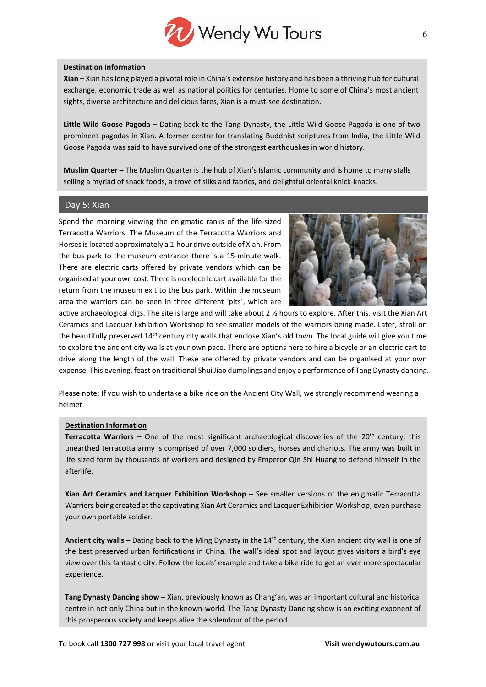

#### **Destination Information**

**Xian –** Xian has long played a pivotal role in China's extensive history and has been a thriving hub for cultural exchange, economic trade as well as national politics for centuries. Home to some of China's most ancient sights, diverse architecture and delicious fares, Xian is a must-see destination.

**Little Wild Goose Pagoda –** Dating back to the Tang Dynasty, the Little Wild Goose Pagoda is one of two prominent pagodas in Xian. A former centre for translating Buddhist scriptures from India, the Little Wild Goose Pagoda was said to have survived one of the strongest earthquakes in world history.

**Muslim Quarter –** The Muslim Quarter is the hub of Xian's Islamic community and is home to many stalls selling a myriad of snack foods, a trove of silks and fabrics, and delightful oriental knick-knacks.

# Day 5: Xian

Spend the morning viewing the enigmatic ranks of the life-sized Terracotta Warriors. The Museum of the Terracotta Warriors and Horses is located approximately a 1-hour drive outside of Xian. From the bus park to the museum entrance there is a 15-minute walk. There are electric carts offered by private vendors which can be organised at your own cost. There is no electric cart available for the return from the museum exit to the bus park. Within the museum area the warriors can be seen in three different 'pits', which are



active archaeological digs. The site is large and will take about 2 ½ hours to explore. After this, visit the Xian Art Ceramics and Lacquer Exhibition Workshop to see smaller models of the warriors being made. Later, stroll on the beautifully preserved 14<sup>th</sup> century city walls that enclose Xian's old town. The local guide will give you time to explore the ancient city walls at your own pace. There are options here to hire a bicycle or an electric cart to drive along the length of the wall. These are offered by private vendors and can be organised at your own expense. This evening, feast on traditional Shui Jiao dumplings and enjoy a performance of Tang Dynasty dancing.

Please note: If you wish to undertake a bike ride on the Ancient City Wall, we strongly recommend wearing a helmet

#### **Destination Information**

**Terracotta Warriors –** One of the most significant archaeological discoveries of the 20<sup>th</sup> century, this unearthed terracotta army is comprised of over 7,000 soldiers, horses and chariots. The army was built in life-sized form by thousands of workers and designed by Emperor Qin Shi Huang to defend himself in the afterlife.

**Xian Art Ceramics and Lacquer Exhibition Workshop –** See smaller versions of the enigmatic Terracotta Warriors being created at the captivating Xian Art Ceramics and Lacquer Exhibition Workshop; even purchase your own portable soldier.

**Ancient city walls –** Dating back to the Ming Dynasty in the 14th century, the Xian ancient city wall is one of the best preserved urban fortifications in China. The wall's ideal spot and layout gives visitors a bird's eye view over this fantastic city. Follow the locals' example and take a bike ride to get an ever more spectacular experience.

**Tang Dynasty Dancing show –** Xian, previously known as Chang'an, was an important cultural and historical centre in not only China but in the known-world. The Tang Dynasty Dancing show is an exciting exponent of this prosperous society and keeps alive the splendour of the period.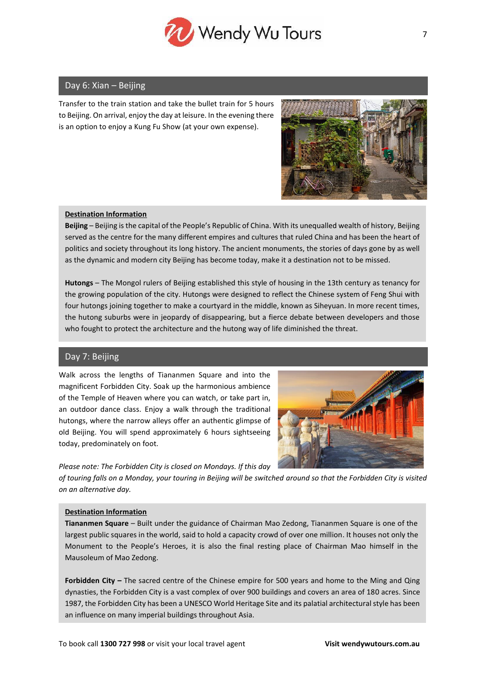

# Day 6: Xian – Beijing

Transfer to the train station and take the bullet train for 5 hours to Beijing. On arrival, enjoy the day at leisure. In the evening there is an option to enjoy a Kung Fu Show (at your own expense).



#### **Destination Information**

**Beijing** – Beijing is the capital of the People's Republic of China. With its unequalled wealth of history, Beijing served as the centre for the many different empires and cultures that ruled China and has been the heart of politics and society throughout its long history. The ancient monuments, the stories of days gone by as well as the dynamic and modern city Beijing has become today, make it a destination not to be missed.

**Hutongs** – The Mongol rulers of Beijing established this style of housing in the 13th century as tenancy for the growing population of the city. Hutongs were designed to reflect the Chinese system of Feng Shui with four hutongs joining together to make a courtyard in the middle, known as Siheyuan. In more recent times, the hutong suburbs were in jeopardy of disappearing, but a fierce debate between developers and those who fought to protect the architecture and the hutong way of life diminished the threat.

# Day 7: Beijing

Walk across the lengths of Tiananmen Square and into the magnificent Forbidden City. Soak up the harmonious ambience of the Temple of Heaven where you can watch, or take part in, an outdoor dance class. Enjoy a walk through the traditional hutongs, where the narrow alleys offer an authentic glimpse of old Beijing. You will spend approximately 6 hours sightseeing today, predominately on foot.

*Please note: The Forbidden City is closed on Mondays. If this day* 



*of touring falls on a Monday, your touring in Beijing will be switched around so that the Forbidden City is visited on an alternative day.*

#### **Destination Information**

**Tiananmen Square** – Built under the guidance of Chairman Mao Zedong, Tiananmen Square is one of the largest public squares in the world, said to hold a capacity crowd of over one million. It houses not only the Monument to the People's Heroes, it is also the final resting place of Chairman Mao himself in the Mausoleum of Mao Zedong.

**Forbidden City –** The sacred centre of the Chinese empire for 500 years and home to the Ming and Qing dynasties, the Forbidden City is a vast complex of over 900 buildings and covers an area of 180 acres. Since 1987, the Forbidden City has been a UNESCO World Heritage Site and its palatial architectural style has been an influence on many imperial buildings throughout Asia.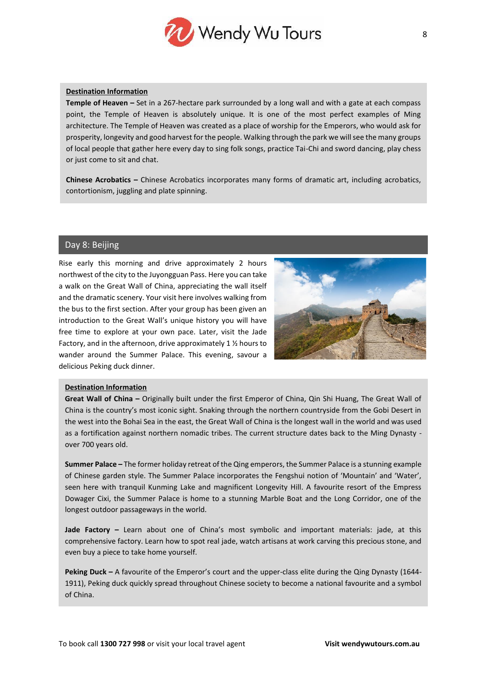

#### **Destination Information**

**Temple of Heaven –** Set in a 267-hectare park surrounded by a long wall and with a gate at each compass point, the Temple of Heaven is absolutely unique. It is one of the most perfect examples of Ming architecture. The Temple of Heaven was created as a place of worship for the Emperors, who would ask for prosperity, longevity and good harvest for the people. Walking through the park we will see the many groups of local people that gather here every day to sing folk songs, practice Tai-Chi and sword dancing, play chess or just come to sit and chat.

**Chinese Acrobatics –** Chinese Acrobatics incorporates many forms of dramatic art, including acrobatics, contortionism, juggling and plate spinning.

# Day 8: Beijing

Rise early this morning and drive approximately 2 hours northwest of the city to the Juyongguan Pass. Here you can take a walk on the Great Wall of China, appreciating the wall itself and the dramatic scenery. Your visit here involves walking from the bus to the first section. After your group has been given an introduction to the Great Wall's unique history you will have free time to explore at your own pace. Later, visit the Jade Factory, and in the afternoon, drive approximately 1 ½ hours to wander around the Summer Palace. This evening, savour a delicious Peking duck dinner.



#### **Destination Information**

**Great Wall of China –** Originally built under the first Emperor of China, Qin Shi Huang, The Great Wall of China is the country's most iconic sight. Snaking through the northern countryside from the Gobi Desert in the west into the Bohai Sea in the east, the Great Wall of China is the longest wall in the world and was used as a fortification against northern nomadic tribes. The current structure dates back to the Ming Dynasty over 700 years old.

**Summer Palace –** The former holiday retreat of the Qing emperors, the Summer Palace is a stunning example of Chinese garden style. The Summer Palace incorporates the Fengshui notion of 'Mountain' and 'Water', seen here with tranquil Kunming Lake and magnificent Longevity Hill. A favourite resort of the Empress Dowager Cixi, the Summer Palace is home to a stunning Marble Boat and the Long Corridor, one of the longest outdoor passageways in the world.

**Jade Factory –** Learn about one of China's most symbolic and important materials: jade, at this comprehensive factory. Learn how to spot real jade, watch artisans at work carving this precious stone, and even buy a piece to take home yourself.

**Peking Duck –** A favourite of the Emperor's court and the upper-class elite during the Qing Dynasty (1644- 1911), Peking duck quickly spread throughout Chinese society to become a national favourite and a symbol of China.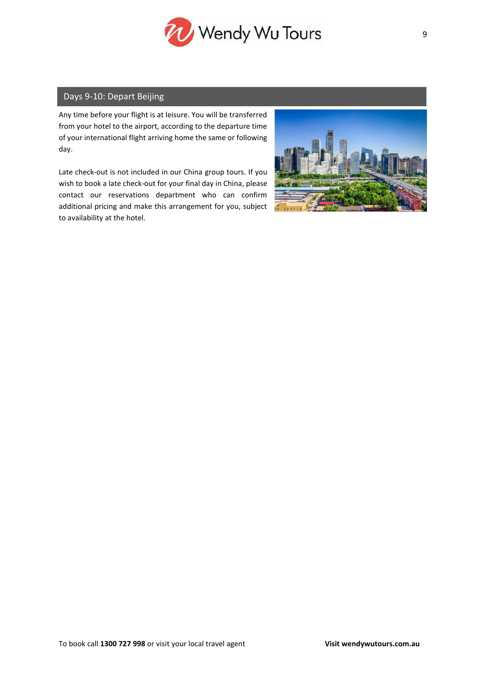

# Days 9-10: Depart Beijing

Any time before your flight is at leisure. You will be transferred from your hotel to the airport, according to the departure time of your international flight arriving home the same or following day.

Late check-out is not included in our China group tours. If you wish to book a late check-out for your final day in China, please contact our reservations department who can confirm additional pricing and make this arrangement for you, subject to availability at the hotel.

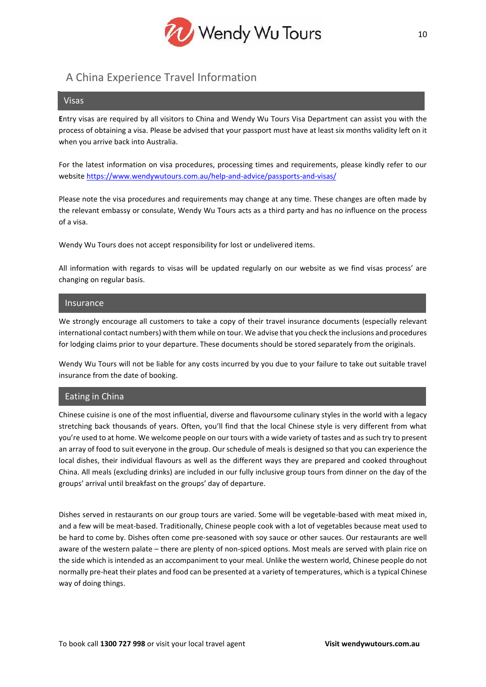

# A China Experience Travel Information

#### Visas

**E**ntry visas are required by all visitors to China and Wendy Wu Tours Visa Department can assist you with the process of obtaining a visa. Please be advised that your passport must have at least six months validity left on it when you arrive back into Australia.

For the latest information on visa procedures, processing times and requirements, please kindly refer to our website<https://www.wendywutours.com.au/help-and-advice/passports-and-visas/>

Please note the visa procedures and requirements may change at any time. These changes are often made by the relevant embassy or consulate, Wendy Wu Tours acts as a third party and has no influence on the process of a visa.

Wendy Wu Tours does not accept responsibility for lost or undelivered items.

All information with regards to visas will be updated regularly on our website as we find visas process' are changing on regular basis.

#### Insurance

We strongly encourage all customers to take a copy of their travel insurance documents (especially relevant international contact numbers) with them while on tour. We advise that you check the inclusions and procedures for lodging claims prior to your departure. These documents should be stored separately from the originals.

Wendy Wu Tours will not be liable for any costs incurred by you due to your failure to take out suitable travel insurance from the date of booking.

# Eating in China

Chinese cuisine is one of the most influential, diverse and flavoursome culinary styles in the world with a legacy stretching back thousands of years. Often, you'll find that the local Chinese style is very different from what you're used to at home. We welcome people on our tours with a wide variety of tastes and as such try to present an array of food to suit everyone in the group. Our schedule of meals is designed so that you can experience the local dishes, their individual flavours as well as the different ways they are prepared and cooked throughout China. All meals (excluding drinks) are included in our fully inclusive group tours from dinner on the day of the groups' arrival until breakfast on the groups' day of departure.

Dishes served in restaurants on our group tours are varied. Some will be vegetable-based with meat mixed in, and a few will be meat-based. Traditionally, Chinese people cook with a lot of vegetables because meat used to be hard to come by. Dishes often come pre-seasoned with soy sauce or other sauces. Our restaurants are well aware of the western palate – there are plenty of non-spiced options. Most meals are served with plain rice on the side which is intended as an accompaniment to your meal. Unlike the western world, Chinese people do not normally pre-heat their plates and food can be presented at a variety of temperatures, which is a typical Chinese way of doing things.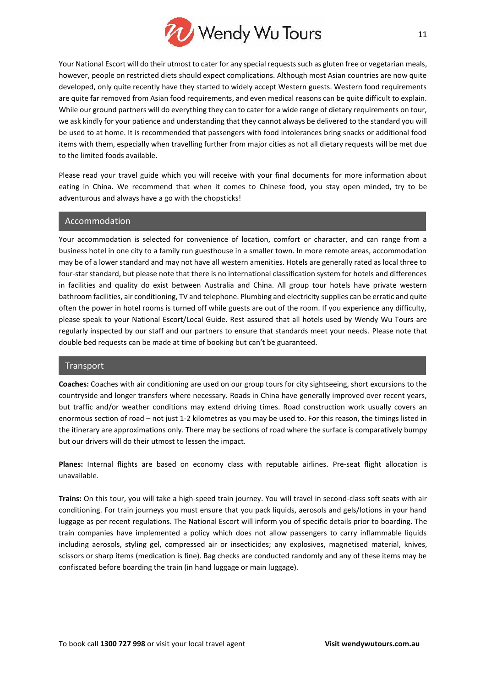

Your National Escort will do their utmost to cater for any special requests such as gluten free or vegetarian meals, however, people on restricted diets should expect complications. Although most Asian countries are now quite developed, only quite recently have they started to widely accept Western guests. Western food requirements are quite far removed from Asian food requirements, and even medical reasons can be quite difficult to explain. While our ground partners will do everything they can to cater for a wide range of dietary requirements on tour, we ask kindly for your patience and understanding that they cannot always be delivered to the standard you will be used to at home. It is recommended that passengers with food intolerances bring snacks or additional food items with them, especially when travelling further from major cities as not all dietary requests will be met due to the limited foods available.

Please read your travel guide which you will receive with your final documents for more information about eating in China. We recommend that when it comes to Chinese food, you stay open minded, try to be adventurous and always have a go with the chopsticks!

#### Accommodation

Your accommodation is selected for convenience of location, comfort or character, and can range from a business hotel in one city to a family run guesthouse in a smaller town. In more remote areas, accommodation may be of a lower standard and may not have all western amenities. Hotels are generally rated as local three to four-star standard, but please note that there is no international classification system for hotels and differences in facilities and quality do exist between Australia and China. All group tour hotels have private western bathroom facilities, air conditioning, TV and telephone. Plumbing and electricity supplies can be erratic and quite often the power in hotel rooms is turned off while guests are out of the room. If you experience any difficulty, please speak to your National Escort/Local Guide. Rest assured that all hotels used by Wendy Wu Tours are regularly inspected by our staff and our partners to ensure that standards meet your needs. Please note that double bed requests can be made at time of booking but can't be guaranteed.

#### Transport

**Coaches:** Coaches with air conditioning are used on our group tours for city sightseeing, short excursions to the countryside and longer transfers where necessary. Roads in China have generally improved over recent years, but traffic and/or weather conditions may extend driving times. Road construction work usually covers an enormous section of road – not just 1-2 kilometres as you may be used to. For this reason, the timings listed in the itinerary are approximations only. There may be sections of road where the surface is comparatively bumpy but our drivers will do their utmost to lessen the impact.

**Planes:** Internal flights are based on economy class with reputable airlines. Pre-seat flight allocation is unavailable.

**Trains:** On this tour, you will take a high-speed train journey. You will travel in second-class soft seats with air conditioning. For train journeys you must ensure that you pack liquids, aerosols and gels/lotions in your hand luggage as per recent regulations. The National Escort will inform you of specific details prior to boarding. The train companies have implemented a policy which does not allow passengers to carry inflammable liquids including aerosols, styling gel, compressed air or insecticides; any explosives, magnetised material, knives, scissors or sharp items (medication is fine). Bag checks are conducted randomly and any of these items may be confiscated before boarding the train (in hand luggage or main luggage).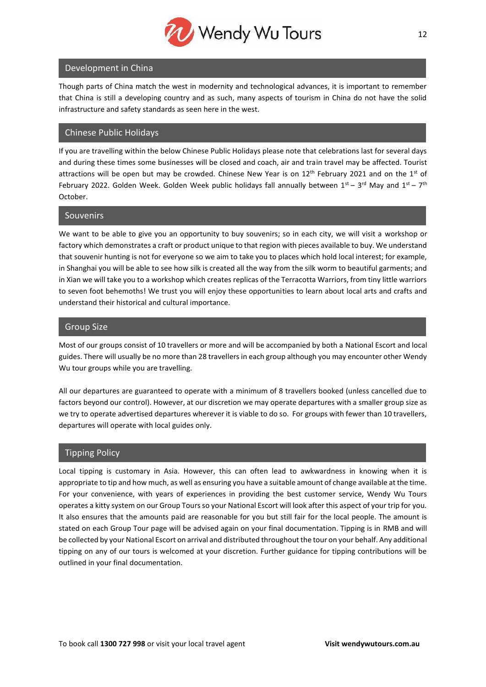

# Development in China

Though parts of China match the west in modernity and technological advances, it is important to remember that China is still a developing country and as such, many aspects of tourism in China do not have the solid infrastructure and safety standards as seen here in the west.

# Chinese Public Holidays

If you are travelling within the below Chinese Public Holidays please note that celebrations last for several days and during these times some businesses will be closed and coach, air and train travel may be affected. Tourist attractions will be open but may be crowded. Chinese New Year is on  $12<sup>th</sup>$  February 2021 and on the  $1<sup>st</sup>$  of February 2022. Golden Week. Golden Week public holidays fall annually between  $1^{st}$  – 3<sup>rd</sup> May and  $1^{st}$  – 7<sup>th</sup> October.

# Souvenirs

We want to be able to give you an opportunity to buy souvenirs; so in each city, we will visit a workshop or factory which demonstrates a craft or product unique to that region with pieces available to buy. We understand that souvenir hunting is not for everyone so we aim to take you to places which hold local interest; for example, in Shanghai you will be able to see how silk is created all the way from the silk worm to beautiful garments; and in Xian we will take you to a workshop which creates replicas of the Terracotta Warriors, from tiny little warriors to seven foot behemoths! We trust you will enjoy these opportunities to learn about local arts and crafts and understand their historical and cultural importance.

# Group Size

Most of our groups consist of 10 travellers or more and will be accompanied by both a National Escort and local guides. There will usually be no more than 28 travellers in each group although you may encounter other Wendy Wu tour groups while you are travelling.

All our departures are guaranteed to operate with a minimum of 8 travellers booked (unless cancelled due to factors beyond our control). However, at our discretion we may operate departures with a smaller group size as we try to operate advertised departures wherever it is viable to do so. For groups with fewer than 10 travellers, departures will operate with local guides only.

# Tipping Policy

Local tipping is customary in Asia. However, this can often lead to awkwardness in knowing when it is appropriate to tip and how much, as well as ensuring you have a suitable amount of change available at the time. For your convenience, with years of experiences in providing the best customer service, Wendy Wu Tours operates a kitty system on our Group Tours so your National Escort will look after this aspect of your trip for you. It also ensures that the amounts paid are reasonable for you but still fair for the local people. The amount is stated on each Group Tour page will be advised again on your final documentation. Tipping is in RMB and will be collected by your National Escort on arrival and distributed throughout the tour on your behalf. Any additional tipping on any of our tours is welcomed at your discretion. Further guidance for tipping contributions will be outlined in your final documentation.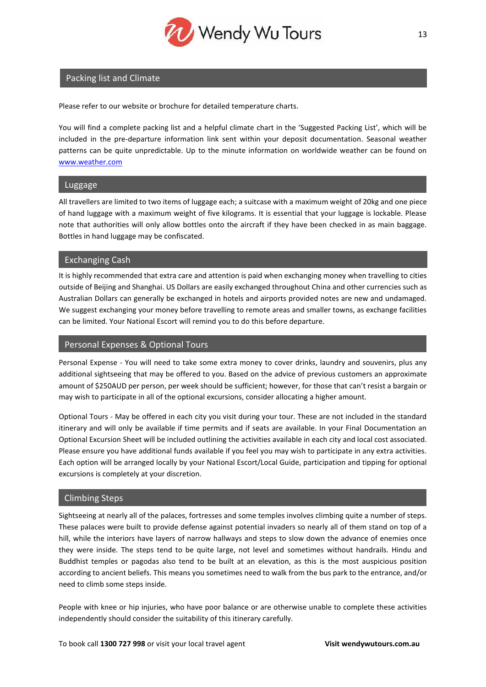

# Packing list and Climate

Please refer to our website or brochure for detailed temperature charts.

You will find a complete packing list and a helpful climate chart in the 'Suggested Packing List', which will be included in the pre-departure information link sent within your deposit documentation. Seasonal weather patterns can be quite unpredictable. Up to the minute information on worldwide weather can be found on [www.weather.com](http://www.weather.com/)

# **Luggage**

All travellers are limited to two items of luggage each; a suitcase with a maximum weight of 20kg and one piece of hand luggage with a maximum weight of five kilograms. It is essential that your luggage is lockable. Please note that authorities will only allow bottles onto the aircraft if they have been checked in as main baggage. Bottles in hand luggage may be confiscated.

# Exchanging Cash

It is highly recommended that extra care and attention is paid when exchanging money when travelling to cities outside of Beijing and Shanghai. US Dollars are easily exchanged throughout China and other currencies such as Australian Dollars can generally be exchanged in hotels and airports provided notes are new and undamaged. We suggest exchanging your money before travelling to remote areas and smaller towns, as exchange facilities can be limited. Your National Escort will remind you to do this before departure.

# Personal Expenses & Optional Tours

Personal Expense - You will need to take some extra money to cover drinks, laundry and souvenirs, plus any additional sightseeing that may be offered to you. Based on the advice of previous customers an approximate amount of \$250AUD per person, per week should be sufficient; however, for those that can't resist a bargain or may wish to participate in all of the optional excursions, consider allocating a higher amount.

Optional Tours - May be offered in each city you visit during your tour. These are not included in the standard itinerary and will only be available if time permits and if seats are available. In your Final Documentation an Optional Excursion Sheet will be included outlining the activities available in each city and local cost associated. Please ensure you have additional funds available if you feel you may wish to participate in any extra activities. Each option will be arranged locally by your National Escort/Local Guide, participation and tipping for optional excursions is completely at your discretion.

# Climbing Steps

Sightseeing at nearly all of the palaces, fortresses and some temples involves climbing quite a number of steps. These palaces were built to provide defense against potential invaders so nearly all of them stand on top of a hill, while the interiors have layers of narrow hallways and steps to slow down the advance of enemies once they were inside. The steps tend to be quite large, not level and sometimes without handrails. Hindu and Buddhist temples or pagodas also tend to be built at an elevation, as this is the most auspicious position according to ancient beliefs. This means you sometimes need to walk from the bus park to the entrance, and/or need to climb some steps inside.

People with knee or hip injuries, who have poor balance or are otherwise unable to complete these activities independently should consider the suitability of this itinerary carefully.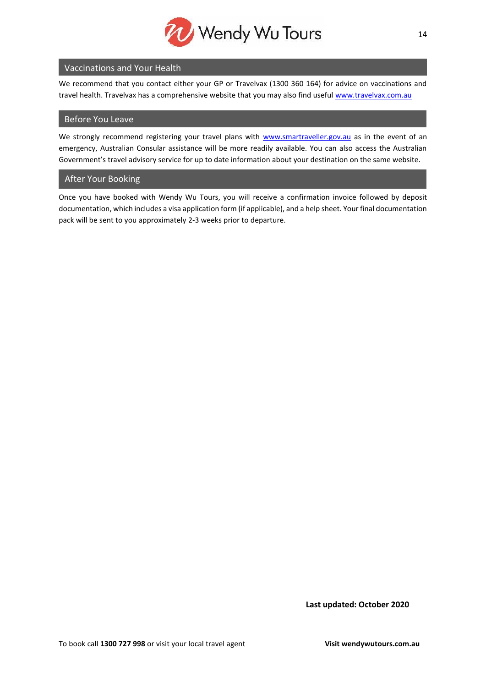

# Vaccinations and Your Health

We recommend that you contact either your GP or Travelvax (1300 360 164) for advice on vaccinations and travel health. Travelvax has a comprehensive website that you may also find useful [www.travelvax.com.au](http://www.travelvax.com.au/)

### Before You Leave

We strongly recommend registering your travel plans with [www.smartraveller.gov.au](http://www.smartraveller.gov.au/) as in the event of an emergency, Australian Consular assistance will be more readily available. You can also access the Australian Government's travel advisory service for up to date information about your destination on the same website.

# After Your Booking

Once you have booked with Wendy Wu Tours, you will receive a confirmation invoice followed by deposit documentation, which includes a visa application form (if applicable), and a help sheet. Your final documentation pack will be sent to you approximately 2-3 weeks prior to departure.

**Last updated: October 2020**